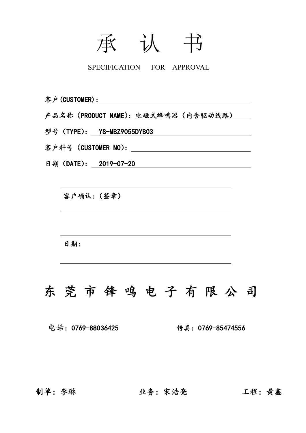# 承 认 书

SPECIFICATION FOR APPROVAL

客户(CUSTOMER):

产品名称(PRODUCT NAME):电磁式蜂鸣器(内含驱动线路)

型号 (TYPE): YS-MBZ9055DYB03

客户料号(CUSTOMER NO):

日期 (DATE): 2019-07-20

客户确认:(签章) 日期:

## 东 莞 市 锋 鸣 电 子 有 限 公 司

电话:0769-88036425 传真:0769-85474556

制单:李琳 业务:宋浩亮 工程:黄鑫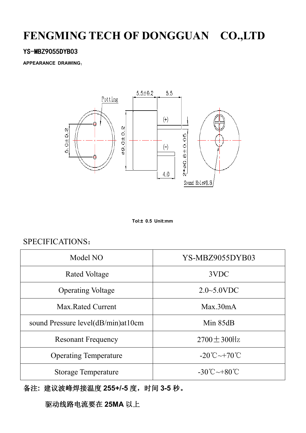## **FENGMING TECH OF DONGGUAN CO.,LTD**

#### YS-MBZ9055DYB03

**APPEARANCE DRAWING**:



**Tol:± 0.5 Unit:mm**

#### SPECIFICATIONS:

| Model NO                           | YS-MBZ9055DYB03                         |  |
|------------------------------------|-----------------------------------------|--|
| Rated Voltage                      | 3VDC                                    |  |
| <b>Operating Voltage</b>           | $2.0 - 5.0$ VDC                         |  |
| Max Rated Current                  | Max.30mA                                |  |
| sound Pressure level(dB/min)at10cm | Min $85dB$                              |  |
| <b>Resonant Frequency</b>          | $2700 \pm 300$ Hz                       |  |
| <b>Operating Temperature</b>       | $-20^{\circ}$ C $\sim$ +70 $^{\circ}$ C |  |
| <b>Storage Temperature</b>         | $-30^{\circ}$ C $\sim$ +80 $^{\circ}$ C |  |

备注**:** 建议波峰焊接温度 **255+/-5** 度,时间 **3-5** 秒。

驱动线路电流要在 **25MA** 以上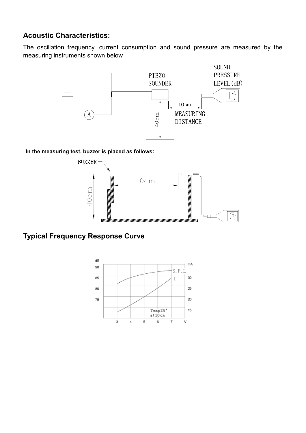#### **Acoustic Characteristics:**

The oscillation frequency, current consumption and sound pressure are measured by the measuring instruments shown below



**In the measuring test, buzzer is placed as follows:**



### **Typical Frequency Response Curve**